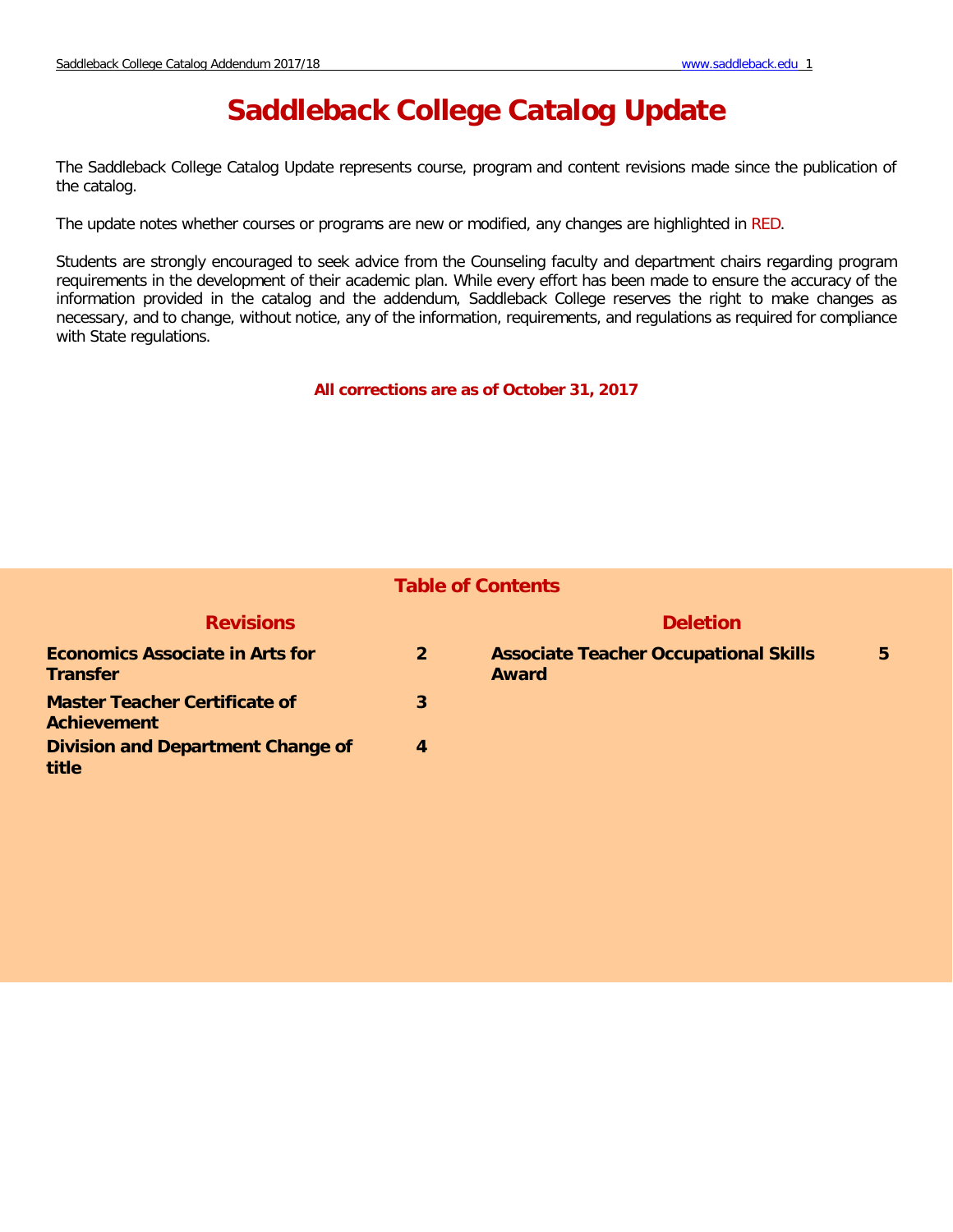# **Saddleback College Catalog Update**

The Saddleback College Catalog Update represents course, program and content revisions made since the publication of the catalog.

The update notes whether courses or programs are new or modified, any changes are highlighted in RED.

Students are strongly encouraged to seek advice from the Counseling faculty and department chairs regarding program requirements in the development of their academic plan. While every effort has been made to ensure the accuracy of the information provided in the catalog and the addendum, Saddleback College reserves the right to make changes as necessary, and to change, without notice, any of the information, requirements, and regulations as required for compliance with State regulations.

**All corrections are as of October 31, 2017** 

| <b>Table of Contents</b>                                   |                  |                                                              |   |
|------------------------------------------------------------|------------------|--------------------------------------------------------------|---|
| <b>Revisions</b>                                           |                  | <b>Deletion</b>                                              |   |
| <b>Economics Associate in Arts for</b><br><b>Transfer</b>  | $\overline{2}$   | <b>Associate Teacher Occupational Skills</b><br><b>Award</b> | 5 |
| <b>Master Teacher Certificate of</b><br><b>Achievement</b> | 3                |                                                              |   |
| <b>Division and Department Change of</b><br>title          | $\boldsymbol{4}$ |                                                              |   |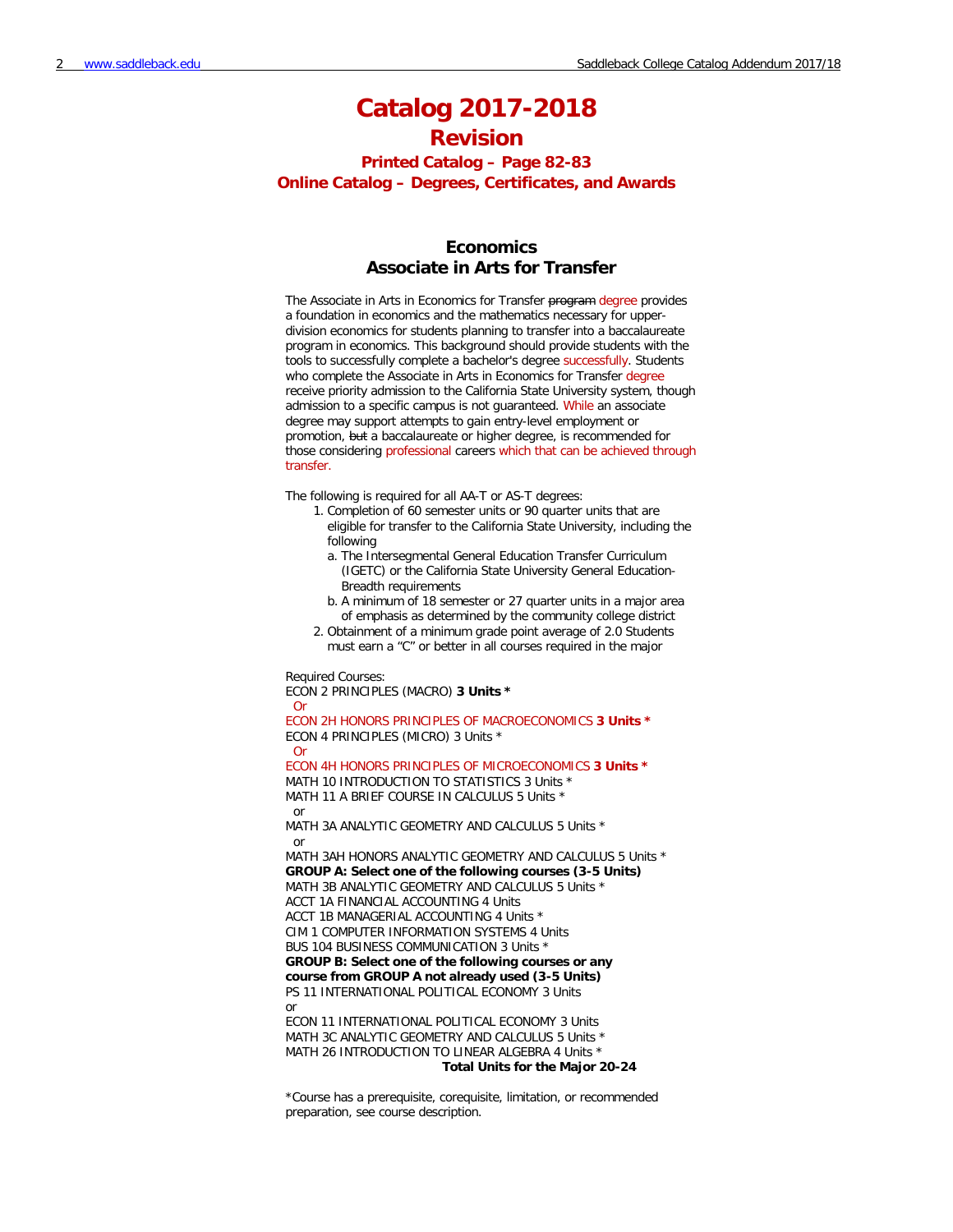# **Catalog 2017-2018**

# **Revision**

**Printed Catalog – Page 82-83 Online Catalog – Degrees, Certificates, and Awards**

## **Economics Associate in Arts for Transfer**

The Associate in Arts in Economics for Transfer program degree provides a foundation in economics and the mathematics necessary for upperdivision economics for students planning to transfer into a baccalaureate program in economics. This background should provide students with the tools to successfully complete a bachelor's degree successfully. Students who complete the Associate in Arts in Economics for Transfer degree receive priority admission to the California State University system, though admission to a specific campus is not quaranteed. While an associate degree may support attempts to gain entry-level employment or promotion, but a baccalaureate or higher degree, is recommended for those considering professional careers which that can be achieved through transfer.

The following is required for all AA-T or AS-T degrees:

- 1. Completion of 60 semester units or 90 quarter units that are eligible for transfer to the California State University, including the following
	- a. The Intersegmental General Education Transfer Curriculum (IGETC) or the California State University General Education-Breadth requirements
	- b. A minimum of 18 semester or 27 quarter units in a major area of emphasis as determined by the community college district
- 2. Obtainment of a minimum grade point average of 2.0 Students must earn a "C" or better in all courses required in the major

Required Courses:

ECON 2 PRINCIPLES (MACRO) **3 Units \*** Or ECON 2H HONORS PRINCIPLES OF MACROECONOMICS **3 Units \*** ECON 4 PRINCIPLES (MICRO) 3 Units \* Or ECON 4H HONORS PRINCIPLES OF MICROECONOMICS **3 Units \*** MATH 10 INTRODUCTION TO STATISTICS 3 Units \* MATH 11 A BRIEF COURSE IN CALCULUS 5 Units \* or MATH 3A ANALYTIC GEOMETRY AND CALCULUS 5 Units \* or MATH 3AH HONORS ANALYTIC GEOMETRY AND CALCULUS 5 Units \* **GROUP A: Select one of the following courses (3-5 Units)** MATH 3B ANALYTIC GEOMETRY AND CALCULUS 5 Units \* ACCT 1A FINANCIAL ACCOUNTING 4 Units ACCT 1B MANAGERIAL ACCOUNTING 4 Units \* CIM 1 COMPUTER INFORMATION SYSTEMS 4 Units BUS 104 BUSINESS COMMUNICATION 3 Units \* **GROUP B: Select one of the following courses or any course from GROUP A not already used (3-5 Units)** PS 11 INTERNATIONAL POLITICAL ECONOMY 3 Units or ECON 11 INTERNATIONAL POLITICAL ECONOMY 3 Units MATH 3C ANALYTIC GEOMETRY AND CALCULUS 5 Units \* MATH 26 INTRODUCTION TO LINEAR ALGEBRA 4 Units \* **Total Units for the Major 20-24**

\*Course has a prerequisite, corequisite, limitation, or recommended preparation, see course description.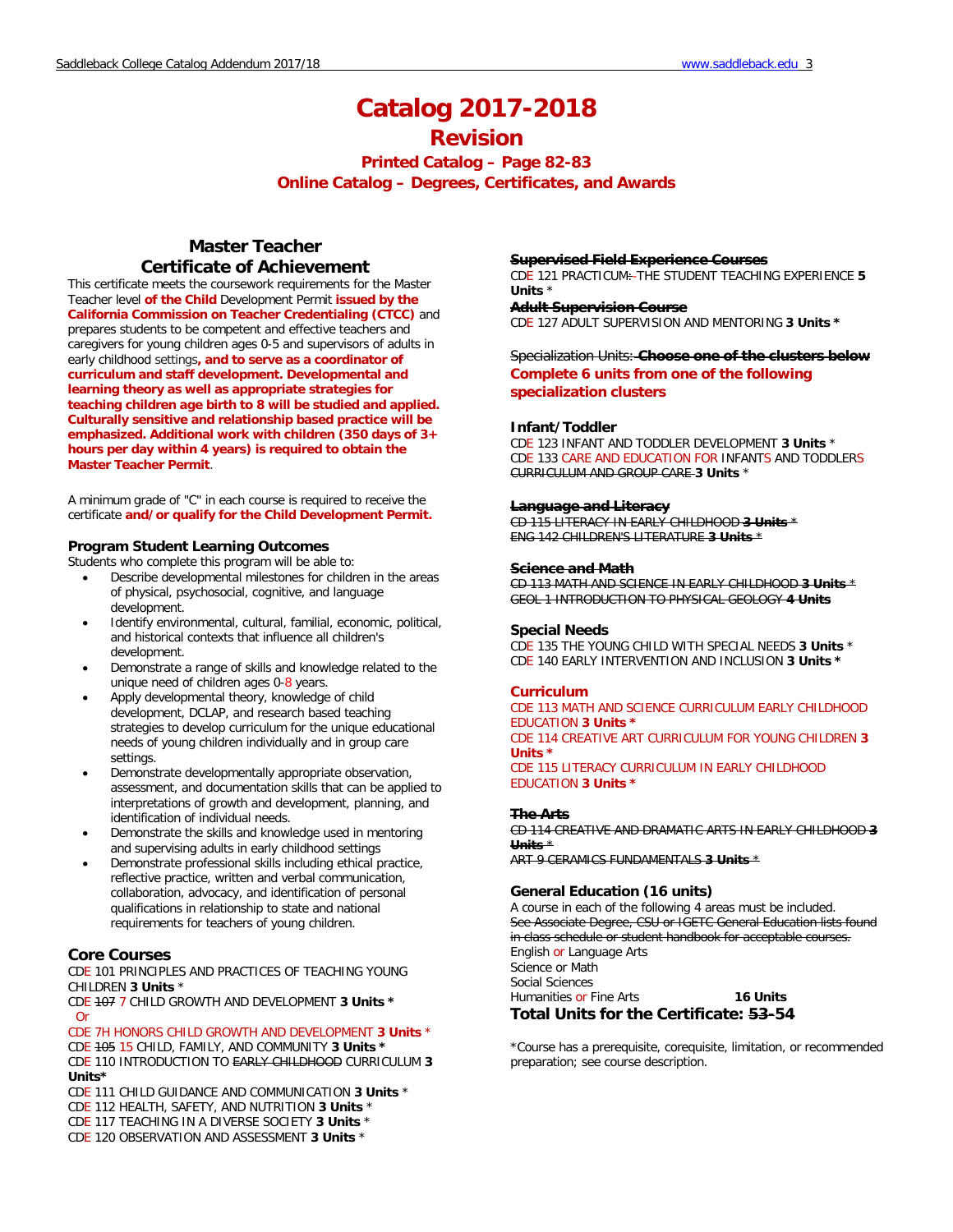# **Catalog 2017-2018**

## **Revision**

**Printed Catalog – Page 82-83 Online Catalog – Degrees, Certificates, and Awards**

## **Master Teacher Certificate of Achievement**

This certificate meets the coursework requirements for the Master Teacher level **of the Child** Development Permit **issued by the California Commission on Teacher Credentialing (CTCC)** and prepares students to be competent and effective teachers and caregivers for young children ages 0-5 and supervisors of adults in early childhood settings**, and to serve as a coordinator of curriculum and staff development. Developmental and learning theory as well as appropriate strategies for teaching children age birth to 8 will be studied and applied. Culturally sensitive and relationship based practice will be emphasized. Additional work with children (350 days of 3+ hours per day within 4 years) is required to obtain the Master Teacher Permit**.

A minimum grade of "C" in each course is required to receive the certificate **and/or qualify for the Child Development Permit.**

#### **Program Student Learning Outcomes**

Students who complete this program will be able to:

- Describe developmental milestones for children in the areas of physical, psychosocial, cognitive, and language development.
- Identify environmental, cultural, familial, economic, political, and historical contexts that influence all children's development.
- Demonstrate a range of skills and knowledge related to the unique need of children ages 0-8 years.
- Apply developmental theory, knowledge of child development, DCLAP, and research based teaching strategies to develop curriculum for the unique educational needs of young children individually and in group care settings.
- Demonstrate developmentally appropriate observation, assessment, and documentation skills that can be applied to interpretations of growth and development, planning, and identification of individual needs.
- Demonstrate the skills and knowledge used in mentoring and supervising adults in early childhood settings
- Demonstrate professional skills including ethical practice, reflective practice, written and verbal communication, collaboration, advocacy, and identification of personal qualifications in relationship to state and national requirements for teachers of young children.

#### **Core Courses**

CDE 101 PRINCIPLES AND PRACTICES OF TEACHING YOUNG CHILDREN **3 Units** \*

CDE 107 7 CHILD GROWTH AND DEVELOPMENT **3 Units \*** Or

### CDE 7H HONORS CHILD GROWTH AND DEVELOPMENT **3 Units** \*

CDE 105 15 CHILD, FAMILY, AND COMMUNITY **3 Units \*** CDE 110 INTRODUCTION TO EARLY CHILDHOOD CURRICULUM **3 Units\***

- CDE 111 CHILD GUIDANCE AND COMMUNICATION **3 Units** \* CDE 112 HEALTH, SAFETY, AND NUTRITION **3 Units** \* CDE 117 TEACHING IN A DIVERSE SOCIETY **3 Units** \*
- CDE 120 OBSERVATION AND ASSESSMENT **3 Units** \*

#### **Supervised Field Experience Courses**

CDE 121 PRACTICUM:-THE STUDENT TEACHING EXPERIENCE **5 Units** \*

**Adult Supervision Course** CDE 127 ADULT SUPERVISION AND MENTORING **3 Units \***

### Specialization Units: **Choose one of the clusters below Complete 6 units from one of the following specialization clusters**

#### **Infant/Toddler**

CDE 123 INFANT AND TODDLER DEVELOPMENT **3 Units** \* CDE 133 CARE AND EDUCATION FOR INFANTS AND TODDLERS CURRICULUM AND GROUP CARE **3 Units** \*

#### **Language and Literacy**

CD 115 LITERACY IN EARLY CHILDHOOD **3 Units** \* ENG 142 CHILDREN'S LITERATURE **3 Units** \*

#### **Science and Math**

CD 113 MATH AND SCIENCE IN EARLY CHILDHOOD **3 Units** \* GEOL 1 INTRODUCTION TO PHYSICAL GEOLOGY **4 Units**

#### **Special Needs**

CDE 135 THE YOUNG CHILD WITH SPECIAL NEEDS **3 Units** \* CDE 140 EARLY INTERVENTION AND INCLUSION **3 Units \***

#### **Curriculum**

CDE 113 MATH AND SCIENCE CURRICULUM EARLY CHILDHOOD EDUCATION **3 Units \***  CDE 114 CREATIVE ART CURRICULUM FOR YOUNG CHILDREN **3 Units \*** CDE 115 LITERACY CURRICULUM IN EARLY CHILDHOOD EDUCATION **3 Units \***

#### **The Arts**

CD 114 CREATIVE AND DRAMATIC ARTS IN EARLY CHILDHOOD **3 Units** \* ART 9 CERAMICS FUNDAMENTALS **3 Units** \*

#### **General Education (16 units)**

A course in each of the following 4 areas must be included. See Associate Degree, CSU or IGETC General Education lists found in class schedule or student handbook for acceptable courses.

English or Language Arts Science or Math Social Sciences Humanities or Fine Arts **16 Units Total Units for the Certificate: 53-54**

\*Course has a prerequisite, corequisite, limitation, or recommended preparation; see course description.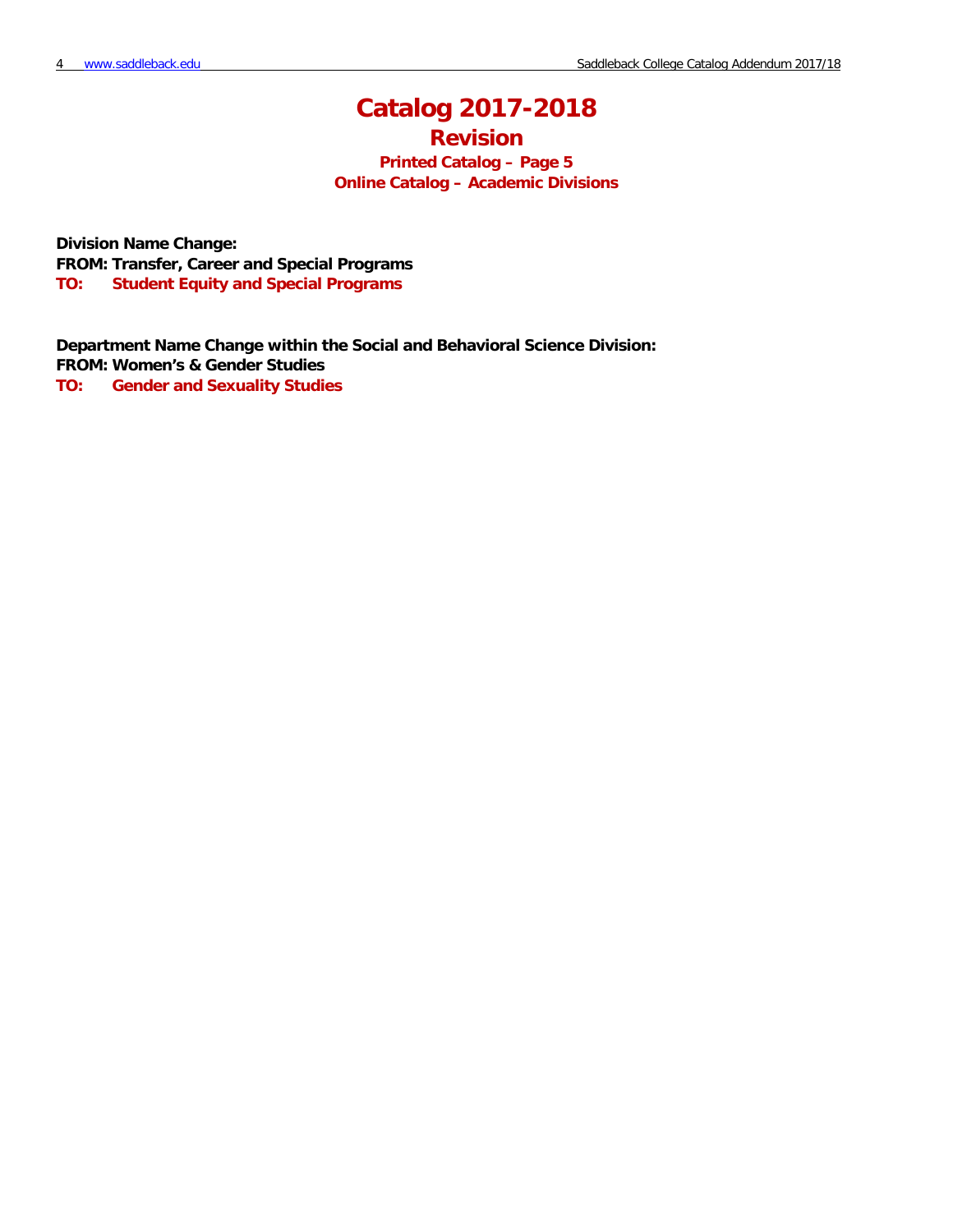# **Catalog 2017-2018**

**Revision**

**Printed Catalog – Page 5 Online Catalog – Academic Divisions**

**Division Name Change: FROM: Transfer, Career and Special Programs TO: Student Equity and Special Programs**

**Department Name Change within the Social and Behavioral Science Division: FROM: Women's & Gender Studies**

**TO: Gender and Sexuality Studies**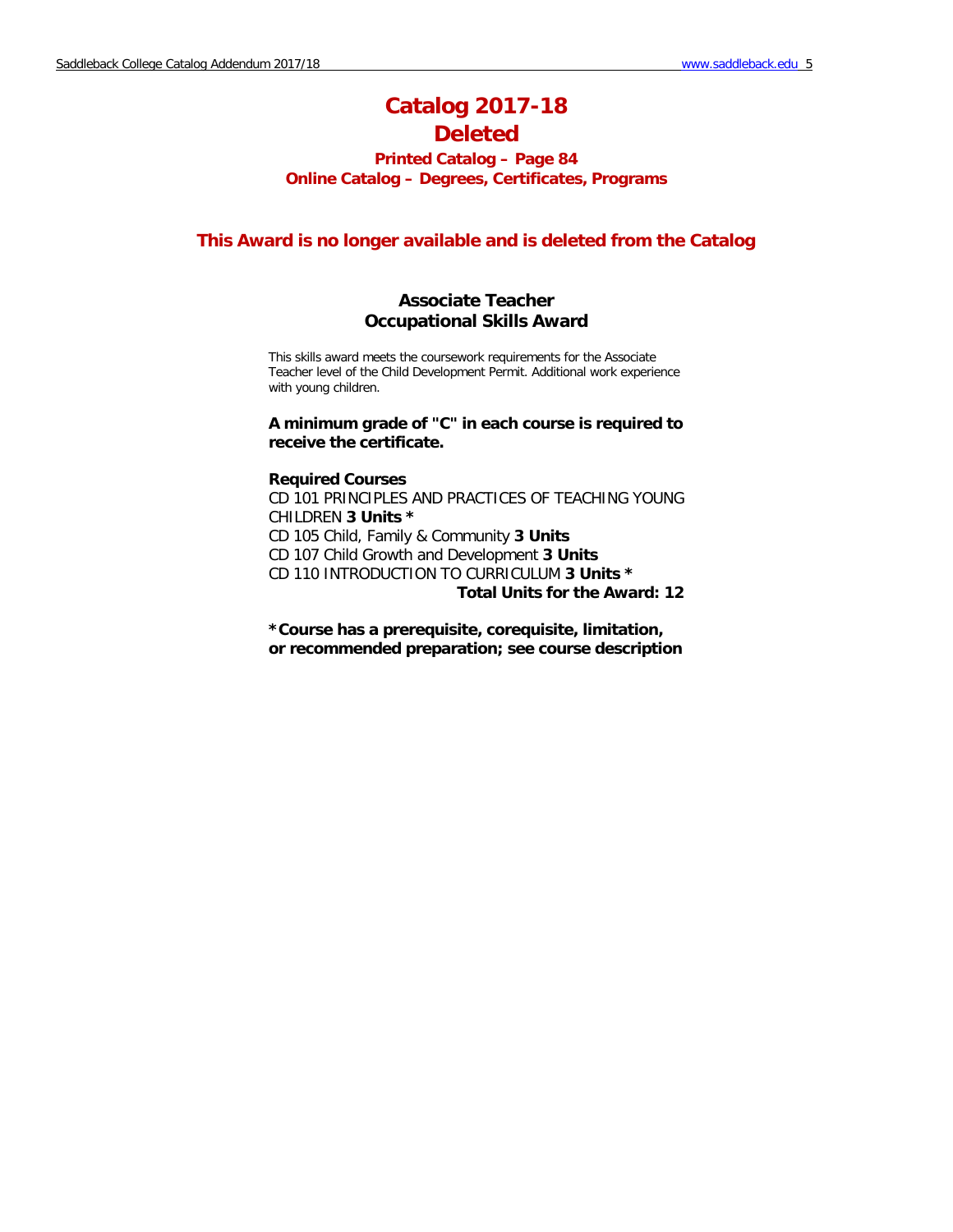# **Catalog 2017-18 Deleted**

## **Printed Catalog – Page 84 Online Catalog – Degrees, Certificates, Programs**

## **This Award is no longer available and is deleted from the Catalog**

## **Associate Teacher Occupational Skills Award**

This skills award meets the coursework requirements for the Associate Teacher level of the Child Development Permit. Additional work experience with young children.

### **A minimum grade of "C" in each course is required to receive the certificate.**

#### **Required Courses**

CD 101 PRINCIPLES AND PRACTICES OF TEACHING YOUNG CHILDREN **3 Units \*** CD 105 Child, Family & Community **3 Units** CD 107 Child Growth and Development **3 Units** CD 110 INTRODUCTION TO CURRICULUM **3 Units \* Total Units for the Award: 12**

**\*Course has a prerequisite, corequisite, limitation, or recommended preparation; see course description**